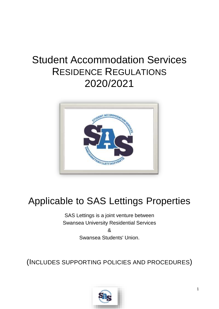# Student Accommodation Services RESIDENCE REGULATIONS 2020/2021



# Applicable to SAS Lettings Properties

SAS Lettings is a joint venture between Swansea University Residential Services &

Swansea Students' Union.

(INCLUDES SUPPORTING POLICIES AND PROCEDURES)

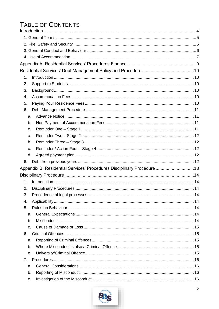# TABLE OF CONTENTS

| 1.                                                                     |  |
|------------------------------------------------------------------------|--|
| 2.                                                                     |  |
| 3.                                                                     |  |
| 4.                                                                     |  |
| 5.                                                                     |  |
| 6.                                                                     |  |
| a.                                                                     |  |
| b.                                                                     |  |
| C.                                                                     |  |
| a.                                                                     |  |
| b.                                                                     |  |
| c.                                                                     |  |
| d.                                                                     |  |
| 6.                                                                     |  |
| Appendix B: Residential Services' Procedures Disciplinary Procedure 13 |  |
|                                                                        |  |
| 1.                                                                     |  |
| 2.                                                                     |  |
| 3.                                                                     |  |
| 4.                                                                     |  |
| 5.                                                                     |  |
| a.                                                                     |  |
| b.                                                                     |  |
| C.                                                                     |  |
| 6.                                                                     |  |
| a.                                                                     |  |
| b.                                                                     |  |
| $\theta$ .                                                             |  |
| $7_{\circ}$                                                            |  |
| a.                                                                     |  |
| b.                                                                     |  |
| C.                                                                     |  |

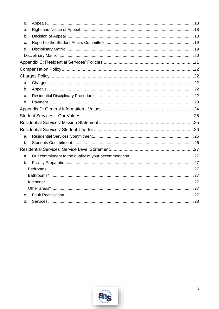| 8. |  |  |  |  |  |
|----|--|--|--|--|--|
| a. |  |  |  |  |  |
| b. |  |  |  |  |  |
| C. |  |  |  |  |  |
| d. |  |  |  |  |  |
|    |  |  |  |  |  |
|    |  |  |  |  |  |
|    |  |  |  |  |  |
|    |  |  |  |  |  |
| a. |  |  |  |  |  |
| b. |  |  |  |  |  |
| C. |  |  |  |  |  |
| d. |  |  |  |  |  |
|    |  |  |  |  |  |
|    |  |  |  |  |  |
|    |  |  |  |  |  |
|    |  |  |  |  |  |
|    |  |  |  |  |  |
| a. |  |  |  |  |  |
| b. |  |  |  |  |  |
|    |  |  |  |  |  |
| a. |  |  |  |  |  |
| b. |  |  |  |  |  |
|    |  |  |  |  |  |
|    |  |  |  |  |  |
|    |  |  |  |  |  |
|    |  |  |  |  |  |
| C. |  |  |  |  |  |

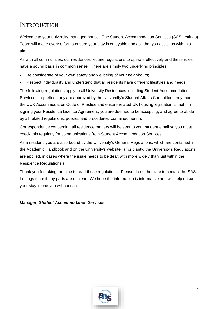### <span id="page-3-0"></span>INTRODUCTION

Welcome to your university managed house. The Student Accommodation Services (SAS Lettings) Team will make every effort to ensure your stay is enjoyable and ask that you assist us with this aim.

As with all communities, our residences require regulations to operate effectively and these rules have a sound basis in common sense. There are simply two underlying principles:

- Be considerate of your own safety and wellbeing of your neighbours;
- Respect individuality and understand that all residents have different lifestyles and needs.

The following regulations apply to all University Residences including Student Accommodation Services' properties; they are approved by the University's Student Affairs Committee; they meet the UUK Accommodation Code of Practice and ensure related UK housing legislation is met. In signing your Residence Licence Agreement, you are deemed to be accepting, and agree to abide by all related regulations, policies and procedures, contained herein.

Correspondence concerning all residence matters will be sent to your student email so you must check this regularly for communications from Student Accommodation Services.

As a resident, you are also bound by the University's General Regulations, which are contained in the Academic Handbook and on the University's website. (For clarity, the University's Regulations are applied, in cases where the issue needs to be dealt with more widely than just within the Residence Regulations.)

Thank you for taking the time to read these regulations. Please do not hesitate to contact the SAS Lettings team if any parts are unclear. We hope the information is informative and will help ensure your stay is one you will cherish.

#### *Manager, Student Accommodation Services*

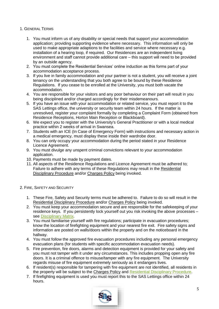#### <span id="page-4-0"></span>1. GENERAL TERMS

- 1. You must inform us of any disability or special needs that support your accommodation application; providing supporting evidence where necessary. This information will only be used to make appropriate adaptions to the facilities and service where necessary e.g. installation of a hearing loop, if required. Our Residences are an independent living environment and staff cannot provide additional care – this support will need to be provided by an outside agency.
- 2. You must complete the Residential Services' online induction as this forms part of your accommodation acceptance process.
- 3. If you live in family accommodation and your partner is not a student, you will receive a joint tenancy on the understanding that you both agree to be bound by these Residence Regulations. If you cease to be enrolled at the University, you must both vacate the accommodation.
- 4. You are responsible for your visitors and any poor behaviour on their part will result in you being disciplined and/or charged accordingly for their misdemeanours.
- 5. If you have an issue with your accommodation or related service, you must report it to the SAS Lettings office, the university or security team within 24 hours. If the matter is unresolved, register your complaint formally by completing a Complaint Form (obtained from Residence Receptions, Horton Main Reception or Blackboard).
- 6. We expect you to register with the University's General Practitioner or with a local medical practice within 2 weeks of arrival in Swansea.
- 7. Students with an ICE (In Case of Emergency Form) with instructions and necessary action in a medical emergency, must display these inside their wardrobe door.
- 8. You can only occupy your accommodation during the period stated in your Residence Licence Agreement.
- 9. You must divulge any unspent criminal convictions relevant to your accommodation application.
- 10. Payments must be made by payment dates.
- 11. All aspects of the Residence Regulations and Licence Agreement must be adhered to; Failure to adhere with any terms of these Regulations may result in the [Residential](#page-12-1)  [Disciplinary Procedure](#page-12-1) and/or [Charges Policy](#page-21-1) being invoked.

#### <span id="page-4-1"></span>2. FIRE, SAFETY AND SECURITY

- 1. These Fire, Safety and Security terms must be adhered to. Failure to do so will result in the [Residential Disciplinary Procedure](#page-12-1) and/or [Charges Policy](#page-21-1) being invoked.
- 2. You must keep your accommodation secure and are responsible for the safekeeping of your residence keys. If you persistently lock yourself out you risk invoking the above processes – see [Disciplinary Matrix.](#page-18-1)
- 3. You must familiarise yourself with fire regulations; participate in evacuation procedures; know the location of firefighting equipment and your nearest fire exit. Fire safety signs and information are posted on walls/doors within the property and on the noticeboard in the hallway.
- 4. You must follow the approved fire evacuation procedures including any personal emergency evacuation plans (for students with specific accommodation evacuation needs).
- 5. Fire prevention, fire doors, alarms and detection equipment is provided for your safety and you must not tamper with it under any circumstances. This includes propping open any fire doors. It is a criminal offence to misuse/tamper with any fire equipment. The University regards misuse of fire equipment extremely seriously as it endangers lives.
- 6. If resident(s) responsible for tampering with fire equipment are not identified, all residents in the property will be subject to the [Charges Policy](#page-21-1) and [Residential Disciplinary Procedure.](#page-12-1)
- 7. If firefighting equipment is used you must report this to the SAS Lettings office within 24 hours.

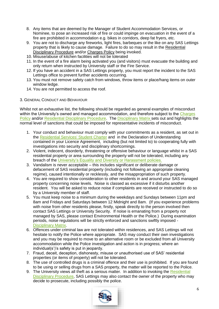- 8. Any items that are deemed by the Manager of Student Accommodation Services, or Nominee, to pose an increased risk of fire or could impinge on evacuation in the event of a fire are prohibited in accommodation e.g. bikes in corridors, deep fat fryers, etc.
- 9. You are not to discharge any fireworks, light fires, barbeques or the like on any SAS Lettings property that is likely to cause damage. Failure to do so may result in the [Residential](#page-12-1)  [Disciplinary Procedure](#page-12-1) and/or [Charges Policy](#page-21-1) being invoked.
- 10. Misuse/abuse of kitchen facilities will not be tolerated
- 11. In the event of a fire alarm being activated you (and visitors) must evacuate the building and only return when instructed by University staff or the Fire Service.
- 12. If you have an accident in a SAS Lettings property, you must report the incident to the SAS Lettings office to prevent further accidents occurring.
- 13. You must not remove safety catch from windows, throw items or place/hang items on outer window ledge.
- 14. You are not permitted to access the roof.
- <span id="page-5-0"></span>3. GENERAL CONDUCT AND BEHAVIOUR

Whilst not an exhaustive list, the following should be regarded as general examples of misconduct within the University's owned and managed accommodation, and therefore subject to the Charges [Policy](#page-21-1) and/or [Residential Disciplinary Procedure.](#page-12-1) The [Disciplinary Matrix](#page-18-1) sets out and highlights the normal level of sanctions that could be imposed for representative incidents of misconduct.

- 1. Your conduct and behaviour must comply with your commitments as a resident, as set out in the [Residential Services' Student Charter](#page-25-0) and in the Declaration of Understanding contained in your Licence Agreement, including (but not limited to) to cooperating fully with investigations into security and disciplinary shortcomings.
- 2. Violent, indecent, disorderly, threatening or offensive behaviour or language whilst in a SAS residential property or area surrounding the property will not be tolerated, including any breach of the [University's Equality and Diversity or Harassment policies.](http://www.swan.ac.uk/personnel/generalinformation/policiesprocedures/equalopportunities/)
- 3. Vandalism is never acceptable this includes significant or deliberate damage or defacement of SAS residential property (including not following an appropriate cleaning regime), caused intentionally or recklessly, and the misappropriation of such property.
- 4. You are required to show consideration to other residents in and around your SAS managed property concerning noise levels. Noise is classed as excessive if it disturbs another resident. You will be asked to reduce noise if complaints are received or instructed to do so by a University member of staff.
- 5. You must keep noise to a minimum during the weekdays and Sundays between 11pm and 8am and Fridays and Saturdays between 12 Midnight and 8am. (If you experience problems with noise from other residents please, firstly, speak directly to the person involved then contact SAS Lettings or University Security. If noise is emanating from a property not managed by SAS, please contact Environmental Health or the Police.) During examination periods, noise regulations will be strictly enforced and sanctions swiftly imposed - [Disciplinary Matrix.](#page-18-1)
- 6. Offences under criminal law are not tolerated within residences, and SAS Lettings will not hesitate to notify the Police where appropriate. SAS may conduct their own investigations and you may be required to move to an alternative room or be excluded from all University accommodation while the Police investigation and action is in progress; where an individual(s')'s safety is put in jeopardy.
- 7. Fraud, deceit, deception, dishonesty, misuse or unauthorised use of SAS' residential properties (or items of property) will not be tolerated.
- 8. The use of controlled drugs is a criminal offence and their use is prohibited. If you are found to be using or selling drugs from a SAS property, the matter will be reported to the Police.
- 9. The University views all theft as a serious matter. In addition to invoking the Residential [Disciplinary Procedure,](#page-12-1) SAS Lettings may also contact the owner of the property who may decide to prosecute, including possibly the police.

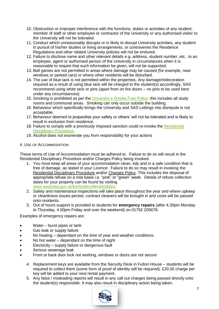- 10. Obstruction or improper interference with the functions, duties or activities of any student, member of staff or other employee or contractor of the University or any authorised visitor to the University will not be tolerated.
- 11. Conduct which unreasonably disrupts or is likely to disrupt University activities, any student in pursuit of his/her studies or living arrangements, or contravenes the Residence Regulations and other related University policies will not be endured.
- 12. Failure to disclose name and other relevant details e.g. address, student number, etc. to an employee, agent or authorised person of the University in circumstances when it is reasonable to require that such information be given, will not be supported.
- 13. Ball games are not permitted in areas where damage may be caused (for example, near windows or parked cars) or where other residents will be disturbed.
- 14. The use of blue tack is not permitted within the properties. Any damage/redecoration required as a result of using blue tack will be charged to the student(s) accordingly. SAS recommend using white tack or pins (apart from on fire doors – no pins to be used here under any circumstances)
- 15. Smoking is prohibited as per the [University's Smoke Free Policy:](http://www.swan.ac.uk/estates/safetyoffice/policiesandprocedures/) this includes all study rooms and communal areas. Smoking can only occur outside the building.
- 16. Behaviour which specifically brings the University and SAS Lettings into disrepute is not acceptable.
- 17. Behaviour deemed to jeopardise your safety or others' will not be tolerated and is likely to result in exclusion from residence.
- 18. Failure to comply with a previously imposed sanction could re-invoke the Residential [Disciplinary Procedure.](#page-12-1)
- 19. Alcohol does not exonerate you from responsibility for your actions

#### <span id="page-6-0"></span>4. USE OF ACCOMMODATION

These terms of Use of Accommodation must be adhered to. Failure to do so will result in the [Residential Disciplinary Procedure](#page-12-1) and/or [Charges Policy](#page-21-1) being invoked.

- 1. You must keep all areas of your accommodation clean, tidy and in a safe condition that is free of damage, as stated in your Licence: Failure to do so may result in invoking the [Residential Disciplinary Procedure](#page-12-1) and/or [Charges Policy.](#page-21-1) This includes the disposal of appropriate refuse on a rota basis i.e. "pink" or "green" week. Details of refuse collection dates for your property can be found by visiting [www.swansea.gov.uk/kerbsidecollectiondates.](http://www.swansea.gov.uk/kerbsidecollectiondates)
- 2. Safety and maintenance inspections will take place throughout the year and where upkeep or cleanliness issues persist, contract cleaners will be brought in and costs will be passed onto residents.
- 3. Out of hours support is provided to students for **emergency repairs** (after 4.30pm Monday to Thursday, 4.00pm Friday and over the weekend) on 01792 205678.

Examples of emergency repairs are:

- Water burst pipes or tank
- Gas leak or supply failure
- No heating dependant on the time of year and weather conditions.
- No hot water dependant on the time of night
- Electricity supply failure or dangerous fault
- Serious sewerage leak
- Front or back door lock not working, windows or doors are not secure
	- 4. Replacement keys are available from the Security Desk in Fulton House students will be required to collect them (some form of proof of identity will be required). £20.00 charge per key will be added to your next rental payment.
	- 5. Any false / misleading reports will result in any call out charges being passed directly onto the student(s) responsible. It may also result in disciplinary action being taken.

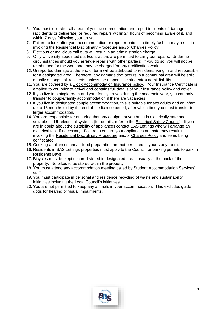- 6. You must look after all areas of your accommodation and report incidents of damage (accidental or deliberate) or required repairs within 24 hours of becoming aware of it, and within 7 days following your arrival.
- 7. Failure to look after your accommodation or report repairs in a timely fashion may result in invoking the [Residential Disciplinary Procedure](#page-12-1) and/or [Charges Policy.](#page-21-1)
- 8. Fictitious or malicious call outs will result in an administration charge.
- 9. Only University appointed staff/contractors are permitted to carry out repairs. Under no circumstances should you arrange repairs with other parties: If you do so, you will not be reimbursed for the work and may be charged for any rectification work.
- *10.* Unreported damage at the end of term will be attributed to residents living in and responsible for a designated area. Therefore, any damage that occurs in a communal area will be split equally amongst all residents, unless the responsible student(s) admit liability.
- 11. You are covered by a [Block Accommodation Insurance policy](http://www.endsleigh.co.uk/reviewcover)*.* Your Insurance Certificate is emailed to you prior to arrival and contains full details of your insurance policy and cover.
- 12. If you live in a single room and your family arrives during the academic year, you can only transfer to couple/family accommodation if there are vacancies.
- 13. If you live in designated couple accommodation, this is suitable for two adults and an infant up to 18 months old by the end of the licence period, after which time you must transfer to larger accommodation.
- 14. You are responsible for ensuring that any equipment you bring is electrically safe and suitable for UK electrical systems (for details, refer to the [Electrical Safety Council\)](http://www.esc.org.uk/safety-in-the-home/safety-leaflets.html). If you are in doubt about the suitability of appliances contact SAS Lettings who will arrange an electrical test, if necessary. Failure to ensure your appliances are safe may result in invoking the [Residential Disciplinary Procedure](#page-12-1) and/or [Charges Policy](#page-21-1) and items being confiscated.
- 15. Cooking appliances and/or food preparation are not permitted in your study room.
- 16. Residents in SAS Lettings properties must apply to the Council for parking permits to park in Residents Bays.
- 17. Bicycles must be kept secured stored in designated areas usually at the back of the property. No bikes to be stored within the property.
- 18. You must attend any accommodation meeting called by Student Accommodation Services' staff.
- 19. You must participate in personal and residence recycling of waste and sustainability initiatives including the Local Council's initiatives.
- 20. You are not permitted to keep any animals in your accommodation. This excludes guide dogs for hearing or visual impairments.

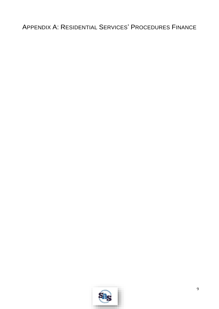# <span id="page-8-0"></span>APPENDIX A: RESIDENTIAL SERVICES' PROCEDURES FINANCE

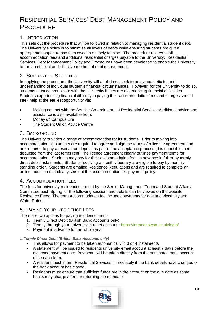## <span id="page-9-0"></span>RESIDENTIAL SERVICES' DEBT MANAGEMENT POLICY AND **PROCEDURE**

#### <span id="page-9-1"></span>1. INTRODUCTION

This sets out the procedure that will be followed in relation to managing residential student debt. The University's policy is to minimise all levels of debts while ensuring students are given appropriate support to pay fees owed in a timely fashion. The procedure relates to all accommodation fees and additional residential charges payable to the University. Residential Services' Debt Management Policy and Procedures have been developed to enable the University to run an efficient and effective method of debt management.

#### <span id="page-9-2"></span>2. SUPPORT TO STUDENTS

In applying the procedure, the University will at all times seek to be sympathetic to, and understanding of individual student's financial circumstances. However, for the University to do so, students must communicate with the University if they are experiencing financial difficulties. Students experiencing financial difficulty in paying their accommodation fees and charges should seek help at the earliest opportunity via:

- Making contact with the Service Co-ordinators at Residential Services Additional advice and assistance is also available from:
- Money @ Campus Life
- The Student Union Advice Centre

#### <span id="page-9-3"></span>3. BACKGROUND

The University provides a range of accommodation for its students. Prior to moving into accommodation all students are required to agree and sign the terms of a licence agreement and are required to pay a reservation deposit as part of the acceptance process (this deposit is then deducted from the last terms rent) The licence agreement clearly outlines payment terms for accommodation. Students may pay for their accommodation fees in advance in full or by termly direct debit instalments. Students receiving a monthly bursary are eligible to pay by monthly standing order. Students are emailed Residence Regulations and are required to complete an online induction that clearly sets out the accommodation fee payment policy.

#### <span id="page-9-4"></span>4. ACCOMMODATION FEES

The fees for university residences are set by the Senior Management Team and Student Affairs Committee each Spring for the following session, and details can be viewed on the website: [Residence Fees.](http://www.swansea.ac.uk/accommodation/applying-for-accommodation/fees/) The term Accommodation fee includes payments for gas and electricity and Water Rates

#### <span id="page-9-5"></span>5. PAYING YOUR RESIDENCE FEES

There are two options for paying residence fees:-

- 1. Termly Direct Debit (British Bank Accounts only)
- 2. Termly through your university intranet account <https://intranet.swan.ac.uk/login/>
- 3. Payment in advance for the whole year

#### *1. Termly Direct Debit (British Bank Accounts only)*

- This allows for payment to be taken automatically in 3 or 4 instalments
- A statement will be issued to residents university email account at least 7 days before the expected payment date. Payments will be taken directly from the nominated bank account once each term.
- A resident must inform Residential Services immediately if the bank details have changed or the bank account has closed.
- Residents must ensure that sufficient funds are in the account on the due date as some banks may charge a fee for returning the mandate.

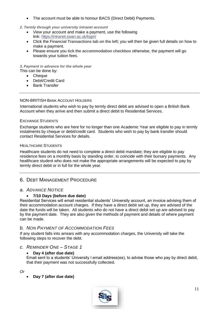The account must be able to honour BACS (Direct Debit) Payments.

#### *2. Termly through your university intranet account*

- View your account and make a payment, use the following link: <https://intranet.swan.ac.uk/login/>
- Click the **Financial Transactions tab on the left**; you will then be given full details on how to make a payment.
- Please ensure you **tick the accommodation checkbox** otherwise, the payment will go towards your tuition fees.

#### *3. Payment in advance for the whole year* This can be done by:

- Cheque
- Debit/Credit Card
- Bank Transfer

#### NON-BRITISH BANK ACCOUNT HOLDERS

International students who wish to pay by termly direct debit are advised to open a British Bank Account when they arrive and then submit a direct debit to Residential Services.

#### EXCHANGE STUDENTS

Exchange students who are here for no longer than one Academic Year are eligible to pay in termly instalments by cheque or debit/credit card. Students who wish to pay by bank transfer should contact Residential Services for details.

#### HEALTHCARE STUDENTS

Healthcare students do not need to complete a direct debit mandate; they are eligible to pay residence fees on a monthly basis by standing order, to coincide with their bursary payments. Any healthcare student who does not make the appropriate arrangements will be expected to pay by termly direct debit or in full for the whole year.

#### <span id="page-10-0"></span>6. DEBT MANAGEMENT PROCEDURE

#### <span id="page-10-1"></span>*a. ADVANCE NOTICE*

#### **7/10 Days (before due date)**

Residential Services will email residential students' University account, an invoice advising them of their accommodation account charges. If they have a direct debit set up, they are advised of the date the funds will be taken. All students who do not have a direct debit set up are advised to pay by the payment date. They are also given the methods of payment and details of where payment can be made.

#### <span id="page-10-2"></span>*b. NON PAYMENT OF ACCOMMODATION FEES*

If any student falls into arrears with any accommodation charges, the University will take the following steps to recover the debt.

#### <span id="page-10-3"></span>*c. REMINDER ONE – STAGE 1*

#### **Day 4 (after due date)**

Email sent to a students' University l email address(es), to advise those who pay by direct debit, that their payment was not successfully collected.

#### *Or*

#### **Day 7 (after due date)**

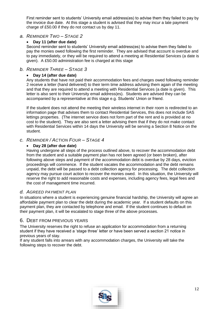First reminder sent to students' University email address(es) to advise them they failed to pay by the invoice due date. At this stage a student is advised that they may incur a late payment charge of £50.00 if they do not contact us by day 11.

#### <span id="page-11-0"></span>*a. REMINDER TWO – STAGE 2*

#### **Day 11 (after due date)**

Second reminder sent to students' University email address(es) to advise them they failed to pay the monies owed following the first reminder. They are advised that account is overdue and to pay immediately, or they will be required to attend a meeting at Residential Services (a date is given). A £50.00 administration fee is charged at this stage

#### <span id="page-11-1"></span>*b. REMINDER THREE – STAGE 3*

#### **Day 14 (after due date)**

Any students that have not paid their accommodation fees and charges owed following reminder 2 receive a letter (hand delivered) to their term time address advising them again of the meeting and that they are required to attend a meeting with Residential Services (a date is given). This letter is also sent to their University email address(es). Students are advised they can be accompanied by a representative at this stage e.g. Students' Union or friend.

If the student does not attend the meeting their wireless internet in their room is redirected to an information page that advises them to contact Residential Services, this does not include SAS lettings properties. (The internet service does not form part of the rent and is provided at no cost to the student). They are also sent a letter advising them that if they do not make contact with Residential Services within 14 days the University will be serving a Section 8 Notice on the student.

#### <span id="page-11-2"></span>*c. REMINDER / ACTION FOUR – STAGE 4*

#### **Day 28 (after due date)**

Having undergone all steps of the process outlined above, to recover the accommodation debt from the student and a suitable payment plan has not been agreed (or been broken), after following above steps and payment of the accommodation debt is overdue by 28 days, eviction proceedings will commence. If the student vacates the accommodation and the debt remains unpaid, the debt will be passed to a debt collection agency for processing. The debt collection agency may pursue court action to recover the monies owed. In this situation, the University will reserve the right to add reasonable costs and expenses, including agency fees, legal fees and the cost of management time incurred.

#### <span id="page-11-3"></span>*d. AGREED PAYMENT PLAN*

In situations where a student is experiencing genuine financial hardship, the University will agree an affordable payment plan to clear the debt during the academic year. If a student defaults on this payment plan, they are contacted by telephone and email. If the student continues to default on their payment plan, it will be escalated to stage three of the above processes.

#### <span id="page-11-4"></span>6. DEBT FROM PREVIOUS YEARS

The University reserves the right to refuse an application for accommodation from a returning student if they have received a 'stage three' letter or have been served a section 21 notice in previous years of stay.

If any student falls into arrears with any accommodation charges, the University will take the following steps to recover the debt.

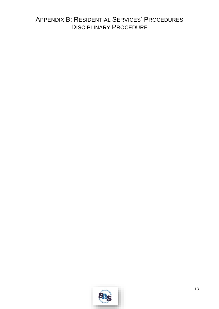## <span id="page-12-1"></span><span id="page-12-0"></span>APPENDIX B: RESIDENTIAL SERVICES' PROCEDURES **DISCIPLINARY PROCEDURE**

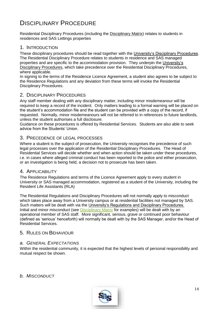# <span id="page-13-0"></span>DISCIPLINARY PROCEDURE

Residential Disciplinary Procedures (including the [Disciplinary Matrix\)](#page-18-1) relates to students in residences and SAS Lettings properties

#### <span id="page-13-1"></span>1. INTRODUCTION

These disciplinary procedures should be read together with the [University's Disciplinary Procedures.](http://www.swan.ac.uk/registry/a-zguide/d/disciplinaryprocedures/) The Residential Disciplinary Procedure relates to students in residence and SAS managed properties and are specific to the accommodation provision. They underpin the [University's](http://www.swan.ac.uk/registry/a-zguide/d/disciplinaryprocedures/)  [Disciplinary Procedures,](http://www.swan.ac.uk/registry/a-zguide/d/disciplinaryprocedures/) which take precedence over the Residential Disciplinary Procedures. where applicable.

In signing to the terms of the Residence Licence Agreement, a student also agrees to be subject to the Residence Regulations and any deviation from these terms will invoke the Residential Disciplinary Procedures.

#### <span id="page-13-2"></span>2. DISCIPLINARY PROCEDURES

Any staff member dealing with any disciplinary matter, including minor misdemeanour will be required to keep a record of the incident. Only matters leading to a formal warning will be placed on the student's accommodation file and the student can be provided with a copy of the record, if requested. Normally, minor misdemeanours will not be referred to in references to future landlords, unless the student authorises a full disclosure.

Guidance on these procedures is offered by Residential Services. Students are also able to seek advice from the Students' Union.

#### <span id="page-13-3"></span>3. PRECEDENCE OF LEGAL PROCESSES

Where a student is the subject of prosecution, the University recognises the precedence of such legal processes over the application of the Residential Disciplinary Procedures. The Head of Residential Services will decide whether and when action should be taken under these procedures, i.e. in cases where alleged criminal conduct has been reported to the police and either prosecution, or an investigation is being held, a decision not to prosecute has been taken.

#### <span id="page-13-4"></span>4. APPLICABILITY

The Residence Regulations and terms of the Licence Agreement apply to every student in University or SAS managed accommodation, registered as a student of the University, including the Resident Life Assistants (RLA)

The Residential Regulations and Disciplinary Procedures will not normally apply to misconduct which takes place away from a University campus or at residential facilities not managed by SAS. Such matters will be dealt with via the [University's Regulations and Disciplinary Procedures.](http://www.swan.ac.uk/registry/academicguide/conductandcomplaints) Initial and minor misconduct (see [Disciplinary Matrix](#page-18-1) for examples) will be dealt with by an operational member of SAS staff. More significant, serious, grave or continued poor behaviour (defined as 'serious' henceforth) will normally be dealt with by the SAS Manager, and/or the Head of Residential Services.

#### <span id="page-13-5"></span>5. RULES ON BEHAVIOUR

#### <span id="page-13-6"></span>*a. GENERAL EXPECTATIONS*

Within the residential community, it is expected that the highest levels of personal responsibility and mutual respect be shown.

<span id="page-13-7"></span>*b. MISCONDUCT* 

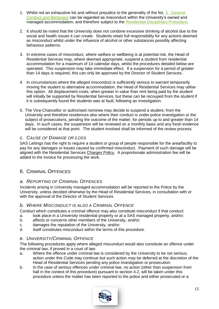- 1. Whilst not an exhaustive list and without prejudice to the generality of the list, 3. General Conduct and Behaviour can be regarded as misconduct within the University's owned and managed accommodation, and therefore subject to the [Residential Disciplinary Procedure.](#page-12-1)
- 2. It should be noted that the University does not condone excessive drinking of alcohol due to the social and health issues it can create. Students retain full responsibility for any actions deemed as misconduct whilst under the influence of alcohol or other substances possibly affecting behaviour patterns.
- 3. In extreme cases of misconduct, where welfare or wellbeing is at potential risk, the Head of Residential Services may, where deemed appropriate, suspend a student from residential accommodation for a maximum of 14 calendar days, whilst the procedures detailed below are operated. This suspension may take immediate effect. If a suspension for a period of greater than 14 days is required, this can only be approved by the Director of Student Services.
- 4. In circumstances where the alleged misconduct is sufficiently serious to warrant temporarily moving the student to alternative accommodation, the Head of Residential Services may utilise this option. All displacement costs, when greater in value than rent being paid by the student will initially be supported by Residential Services, but these can be recouped from the student if it is subsequently found the students was at fault, following an investigation.
- 5. The Vice-Chancellor or authorised nominee may decide to suspend a student, from the University and therefore residences also where their conduct is under police investigation or the subject of prosecutions, pending the outcome of the matter, for periods up to and greater than 14 days. In such cases, the suspension will be reviewed on a monthly basis and any fresh evidence will be considered at that point. The student involved shall be informed of the review process.

#### <span id="page-14-0"></span>*c. CAUSE OF DAMAGE OR LOSS*

SAS Lettings has the right to require a student or group of people responsible for the area/facility to pay for any damages or losses caused by confirmed misconduct. Payment of such damage will be aligned with the Residential Services [Charges Policy.](#page-21-1) A proportionate administration fee will be added to the invoice for processing the work.

#### <span id="page-14-1"></span>6. CRIMINAL OFFENCES

#### <span id="page-14-2"></span>*a. REPORTING OF CRIMINAL OFFENCES*

Incidents arising in University managed accommodation will be reported to the Police by the University, unless decided otherwise by the Head of Residential Services, in consultation with or with the approval of the Director of Student Services.

#### <span id="page-14-3"></span>*b. WHERE MISCONDUCT IS ALSO A CRIMINAL OFFENCE*

Conduct which constitutes a criminal offence may also constitute misconduct if that conduct:

- a. took place in a University residential property or at a SAS managed property, and/or;
- b. affects or concerns other members of the University, and/or;
- c. damages the reputation of the University, and/or;
- d. itself constitutes misconduct within the terms of this procedure.

#### <span id="page-14-4"></span>*e. UNIVERSITY/CRIMINAL OFFENCE*

The following procedures apply where alleged misconduct would also constitute an offence under the criminal law, if proved in a court of law:

- a. Where the offence under criminal law is considered by the University to be not serious, action under this Code may continue but such action may be deferred at the discretion of the Head of Residential Services pending any police investigation or prosecution.
- b. In the case of serious offences under criminal law, no action (other than suspension from hall in the context of this procedure) pursuant to section 4.2, will be taken under this procedure unless the matter has been reported to the police and either prosecuted or a

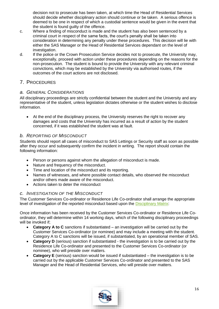decision not to prosecute has been taken, at which time the Head of Residential Services should decide whether disciplinary action should continue or be taken. A serious offence is deemed to be one in respect of which a custodial sentence would be given in the event that the student is found guilty of the offence.

- c. Where a finding of misconduct is made and the student has also been sentenced by a criminal court in respect of the same facts, the court's penalty shall be taken into consideration in determining any penalty under these procedures. This decision will lie with either the SAS Manager or the Head of Residential Services dependant on the level of investigation.
- d. If the police or the Crown Prosecution Service decides not to prosecute, the University may, exceptionally, proceed with action under these procedures depending on the reasons for the non-prosecution. The student is bound to provide the University with any relevant criminal convictions, which may be established by the University via authorised routes, if the outcomes of the court actions are not disclosed.

#### <span id="page-15-0"></span>7. PROCEDURES

#### <span id="page-15-1"></span>*a. GENERAL CONSIDERATIONS*

All disciplinary proceedings are strictly confidential between the student and the University and any representative of the student, unless legislation dictates otherwise or the student wishes to disclose information.

 At the end of the disciplinary process, the University reserves the right to recover any damages and costs that the University has incurred as a result of action by the student concerned, if it was established the student was at fault.

#### <span id="page-15-2"></span>*b. REPORTING OF MISCONDUCT*

Students should report all cases of misconduct to SAS Lettings or Security staff as soon as possible after they occur and subsequently confirm the incident in writing. The report should contain the following information:

- Person or persons against whom the allegation of misconduct is made.
- Nature and frequency of the misconduct.
- Time and location of the misconduct and its reporting.
- Names of witnesses, and where possible contact details, who observed the misconduct and/or others made aware of the misconduct.
- Actions taken to deter the misconduct

#### <span id="page-15-3"></span>*c. INVESTIGATION OF THE MISCONDUCT*

The Customer Services Co-ordinator or Residence Life Co-ordinator shall arrange the appropriate level of investigation of the reported misconduct based upon the [Disciplinary Matrix:](#page-18-1)

Once information has been received by the Customer Services Co-ordinator or Residence Life Coordinator, they will determine within 14 working days, which of the following disciplinary proceedings will be invoked if;

- **Category A to C** sanctions if substantiated an investigation will be carried out by the Customer Services Co-ordinator (or nominee) and may include a meeting with the student. Category A to C sanctions will be issued, if substantiated, by an operational member of SAS.
- **Category D** (serious) sanction if substantiated the investigation is to be carried out by the Residence Life Co-ordinator and presented to the Customer Services Co-ordinator (or nominee), who will preside over matters.
- **Category E** (serious) sanction would be issued if substantiated the investigation is to be carried out by the applicable Customer Services Co-ordinator and presented to the SAS Manager and the Head of Residential Services, who will preside over matters.

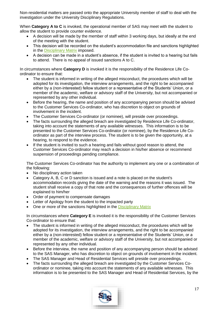Non-residential matters are passed onto the appropriate University member of staff to deal with the investigation under the University Disciplinary Regulations.

When **Category A to C** is invoked, the operational member of SAS may meet with the student to allow the student to provide counter evidence.

- A decision will be made by the member of staff within 3 working days, but ideally at the end of the meeting with the student.
- This decision will be recorded on the student's accommodation file and sanctions highlighted in the [Disciplinary Matrix](#page-18-1) imposed.
- A decision can be made in a student's absence, if the student is invited to a hearing but fails to attend. There is no appeal of issued sanctions A to C.

In circumstances where **Category D** is invoked it is the responsibility of the Residence Life Coordinator to ensure that:

- The student is informed in writing of the alleged misconduct, the procedures which will be adopted for its investigation, the interview arrangements, and the right to be accompanied either by a (non-interested) fellow student or a representative of the Students' Union, or a member of the academic, welfare or advisory staff of the University, but not accompanied or represented by any other individual.
- Before the hearing, the name and position of any accompanying person should be advised to the Customer Services Co-ordinator, who has discretion to object on grounds of involvement in the incident.
- The Customer Services Co-ordinator (or nominee), will preside over proceedings.
- The facts surrounding the alleged breach are investigated by Residence Life Co-ordinator, taking into account the statements of any available witnesses. This information is to be presented to the Customer Services Co-ordinator (or nominee), by the Residence Life Coordinator as part of the interview process. The student is to be given the opportunity, at a hearing, to respond to the evidence.
- If the student is invited to such a hearing and fails without good reason to attend, the Customer Services Co-ordinator may reach a decision in his/her absence or recommend suspension of proceedings pending compliance.

The Customer Services Co-ordinator has the authority to implement any one or a combination of the following:

- No disciplinary action taken
- Category A, B, C or D sanction is issued and a note is placed on the student's accommodation records giving the date of the warning and the reasons it was issued. The student shall receive a copy of that note and the consequences of further offences will be explained to him/her
- Order of payment to compensate damages
- Letter of Apology from the student to the impacted party
- One or more of the sanctions highlighted in the [Disciplinary Matrix](#page-18-1)

In circumstances where **Category E** is invoked it is the responsibility of the Customer Services Co-ordinator to ensure that:

- The student is informed in writing of the alleged misconduct, the procedures which will be adopted for its investigation, the interview arrangements, and the right to be accompanied either by a (non-interested) fellow student or a representative of the Students' Union, or a member of the academic, welfare or advisory staff of the University, but not accompanied or represented by any other individual.
- Before the interview, the name and position of any accompanying person should be advised to the SAS Manager, who has discretion to object on grounds of involvement in the incident.
- The SAS Manager and Head of Residential Services will preside over proceedings.
- The facts surrounding the alleged breach are investigated by the Customer Services Coordinator or nominee, taking into account the statements of any available witnesses. This information is to be presented to the SAS Manager and Head of Residential Services, by the

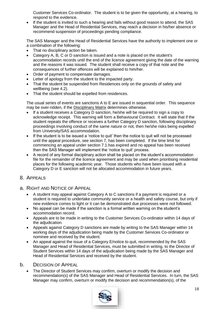Customer Services Co-ordinator. The student is to be given the opportunity, at a hearing, to respond to the evidence.

 If the student is invited to such a hearing and fails without good reason to attend, the SAS Manager and the Head of Residential Services, may reach a decision in his/her absence or recommend suspension of proceedings pending compliance.

The SAS Manager and the Head of Residential Services have the authority to implement one or a combination of the following:

- That no disciplinary action be taken.
- Category A, B, C or D sanction is issued and a note is placed on the student's accommodation records until the end of the licence agreement giving the date of the warning and the reasons it was issued. The student shall receive a copy of that note and the consequences of further offences will be explained to him/her.
- Order of payment to compensate damages.
- Letter of apology from the student to the impacted party.
- That the student be suspended from Residences only on the grounds of safety and wellbeing (see 4.2).
- That the student should be expelled from residences.

The usual series of events are sanctions A to E are issued in sequential order. This sequence may be over-ridden, if the [Disciplinary Matrix](#page-18-1) determines otherwise.

- If a student receives a Category D sanction, he/she will be required to sign a copy to acknowledge receipt. This warning will form a Behavioural Contract. It will state that if the student repeats the offence or receives a further Category D sanction, following disciplinary proceedings involving conduct of the same nature or not, then he/she risks being expelled from University/SAS accommodation.
- If the student is to be issued a 'notice to quit' then the notice to quit will not be processed until the appeal procedure, see section 7, has been completed. If the time limit for commencing an appeal under section 7.1.has expired and no appeal has been received then the SAS Manager will implement the 'notice to quit' process.
- A record of any formal disciplinary action shall be placed on the student's accommodation file for the remainder of the licence agreement and may be used when prioritising residential places for the following academic year. Those students who have been issued with a Category D or E sanction will not be allocated accommodation in future years.

#### <span id="page-17-0"></span>8. APPEALS

- <span id="page-17-1"></span>a. RIGHT AND NOTICE OF APPEAL
	- A student may appeal against Category A to C sanctions if a payment is required or a student is required to undertake community service or a health and safety course, but only if new evidence comes to light or it can be demonstrated due processes were not followed.
	- No appeal can be made if the sanction is a formal written warning on the student's accommodation record.
	- Appeals are to be made in writing to the Customer Services Co-ordinator within 14 days of the adiudication.
	- Appeals against Category D sanctions are made by writing to the SAS Manager within 14 working days of the adjudication being made by the Customer Services Co-ordinator or nominee and received by the student.
	- An appeal against the issue of a Category E/notice to quit, recommended by the SAS Manager and Head of Residential Services, must be submitted in writing, to the Director of Student Services within 14 days of the adjudication being made by the SAS Manager and Head of Residential Services and received by the student.

#### <span id="page-17-2"></span>b. DECISION OF APPEAL

 The Director of Student Services may confirm, overturn or modify the decision and recommendation(s) of the SAS Manager and Head of Residential Services. In turn, the SAS Manager may confirm, overturn or modify the decision and recommendation(s), of the

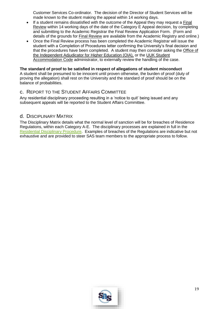Customer Services Co-ordinator. The decision of the Director of Student Services will be made known to the student making the appeal within 14 working days.

- If a student remains dissatisfied with the outcome of the Appeal they may request a [Final](http://www.swan.ac.uk/registry/academicguide/conductandcomplaints/finalreviewprocedure/)  [Review](http://www.swan.ac.uk/registry/academicguide/conductandcomplaints/finalreviewprocedure/) within 14 working days of the date of the Category E Appeal decision, by completing and submitting to the Academic Registrar the Final Review Application Form. (Form and details of the grounds for [Final Review](http://www.swan.ac.uk/registry/academicguide/conductandcomplaints/finalreviewprocedure/) are available from the Academic Registry and online.)
- Once the Final Review process has been completed the Academic Registrar will issue the student with a Completion of Procedures letter confirming the University's final decision and that the procedures have been completed. A student may then consider asking the [Office of](http://www.oiahe.org.uk/)  [the Independent Adjudicator for Higher Education \(OIA\),](http://www.oiahe.org.uk/) or the [UUK Student](http://www.uukcode.info/)  [Accommodation Code](http://www.uukcode.info/) administrator, to externally review the handling of the case.

#### **The standard of proof to be satisfied in respect of allegations of student misconduct**

A student shall be presumed to be innocent until proven otherwise, the burden of proof (duty of proving the allegation) shall rest on the University and the standard of proof should be on the balance of probabilities.

#### <span id="page-18-0"></span>c. REPORT TO THE STUDENT AFFAIRS COMMITTEE

Any residential disciplinary proceeding resulting in a 'notice to quit' being issued and any subsequent appeals will be reported to the Student Affairs Committee.

#### <span id="page-18-1"></span>d. DISCIPLINARY MATRIX

The Disciplinary Matrix details what the normal level of sanction will be for breaches of Residence Regulations, within each Category A-E. The disciplinary processes are explained in full in the [Residential Disciplinary Procedure.](#page-12-1) Examples of breaches of the Regulations are indicative but not exhaustive and are provided to steer SAS team members to the appropriate process to follow.

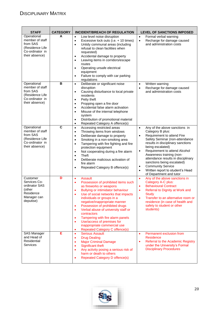<span id="page-19-0"></span>

| <b>STAFF</b>                                                                                       | <b>CATEGORY</b>         | <b>INCIDENT/BREACH OF REGULATION</b>                                                                                                                                                                                                                                                                                                                                                                                                                                                                                                 | <b>LEVEL OF SANCTIONS IMPOSED</b>                                                                                                                                                                                                                                                                                                                                                                                                                                       |
|----------------------------------------------------------------------------------------------------|-------------------------|--------------------------------------------------------------------------------------------------------------------------------------------------------------------------------------------------------------------------------------------------------------------------------------------------------------------------------------------------------------------------------------------------------------------------------------------------------------------------------------------------------------------------------------|-------------------------------------------------------------------------------------------------------------------------------------------------------------------------------------------------------------------------------------------------------------------------------------------------------------------------------------------------------------------------------------------------------------------------------------------------------------------------|
| Operational<br>member of staff<br>from SAS<br>(Residence Life<br>Co-ordinator in<br>their absence) | A                       | Low level noise disruption<br>$\bullet$<br>Excessive lock outs (i.e. + 10 times)<br>$\bullet$<br>Untidy communal areas (including<br>$\bullet$<br>refusal to clean facilities when<br>requested)<br>Accidental damage to property<br>$\bullet$<br>Leaving items in corridors/escape<br>$\bullet$<br>routes<br>Operating unsafe electrical<br>$\bullet$<br>equipment<br>Failure to comply with car parking<br>$\bullet$<br>regulations                                                                                                | Formal verbal warning<br>$\bullet$<br>Recharge for damage caused<br>$\bullet$<br>and administration costs                                                                                                                                                                                                                                                                                                                                                               |
| Operational<br>member of staff<br>from SAS<br>(Residence Life<br>Co-ordinator in<br>their absence) | B                       | Deliberate or significant noise<br>$\bullet$<br>disruption<br>Causing disturbance to local private<br>$\bullet$<br>residents<br>Petty theft<br>$\bullet$<br>Propping open a fire door<br>$\bullet$<br>Accidental false alarm activation<br>$\bullet$<br>Misuse of the internal telephone<br>$\bullet$<br>system<br>Distribution of promotional material<br>$\bullet$<br>Repeated Category A offence(s)<br>$\bullet$                                                                                                                  | Written warning<br>$\bullet$<br>Recharge for damage caused<br>$\bullet$<br>and administration costs                                                                                                                                                                                                                                                                                                                                                                     |
| Operational<br>member of staff<br>from SAS<br>(Residence Life<br>Co-ordinator in<br>their absence) | $\overline{\mathbf{c}}$ | Accessing restricted areas<br>$\bullet$<br>Throwing items from windows<br>$\bullet$<br>Deliberate damage to property<br>$\bullet$<br>Smoking in a non-smoking area<br>$\bullet$<br>Tampering with fire fighting and fire<br>$\bullet$<br>protection equipment<br>Not cooperating during a fire alarm<br>$\bullet$<br>Theft<br>$\bullet$<br>Deliberate malicious activation of<br>$\bullet$<br>fire alarm<br>Repeated Category B offence(s)<br>$\bullet$                                                                              | Any of the above sanctions in<br>$\bullet$<br>Category B plus:<br>Requirement to attend Fire<br>$\bullet$<br>Safety Seminar (non-attendance<br>results in disciplinary sanctions<br>being escalated)<br>Requirement to attend Alcohol<br>$\bullet$<br>Awareness training (non-<br>attendance results in disciplinary<br>sanctions being escalated)<br><b>Community Service</b><br>$\bullet$<br>Written report to student's Head<br>$\bullet$<br>of Department and tutor |
| Customer<br>Services Co-<br>ordinator SAS<br>(other<br>Residence<br>Manager can<br>deputise)       | D                       | <b>Assault</b><br>$\bullet$<br>Possession of prohibited items such<br>$\bullet$<br>as fireworks or weapons<br>Bullying or intimidator behaviour<br>Use of social networks that impacts<br>individuals or groups in a<br>negative/inappropriate manner<br>Possession of prohibited drugs<br>٠<br>Verbal abuse of university staff or<br>$\bullet$<br>contractors<br>Tampering with fire alarm panels<br>$\bullet$<br>Use/access of premises for<br>$\bullet$<br>inappropriate commercial use<br><b>Repeated Category C offence(s)</b> | Any of the above sanctions in<br>$\bullet$<br>Category A-C plus:<br><b>Behavioural Contract</b><br>$\bullet$<br>Referral to Dignity at Work and<br>$\bullet$<br><b>Study</b><br>Transfer to an alternative room or<br>$\bullet$<br>residence (in case of health and<br>safety to student or other<br>students)                                                                                                                                                          |
| SAS Manager<br>and Head of<br>Residential<br>Services                                              | E                       | <b>Serious Assault</b><br>$\bullet$<br><b>Drug Dealing</b><br>$\bullet$<br><b>Major Criminal Damage</b><br>$\bullet$<br>Significant theft<br>٠<br>Any activity posing a serious risk of<br>$\bullet$<br>harm or death to others<br><b>Repeated Category D offence(s)</b><br>$\bullet$                                                                                                                                                                                                                                                | Permanent exclusion from<br>$\bullet$<br><b>Residence</b><br>Referral to the Academic Registry<br>$\bullet$<br>under the University's Formal<br><b>Disciplinary Procedures</b>                                                                                                                                                                                                                                                                                          |

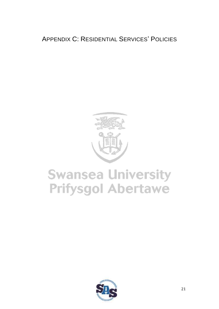# <span id="page-20-0"></span>**APPENDIX C: RESIDENTIAL SERVICES' POLICIES**



# **Swansea University Prifysgol Abertawe**

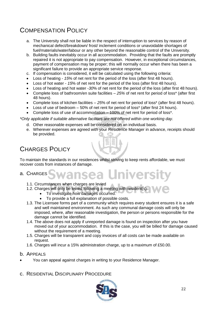# <span id="page-21-0"></span>COMPENSATION POLICY

- a. The University shall not be liable in the respect of interruption to services by reason of mechanical defect/breakdown/ frost/ inclement conditions or unavoidable shortages of fuel/materials/water/labour or any other beyond the reasonable control of the University.
- b. Building faults inevitably occur in all accommodation. Providing that the faults are promptly repaired it is not appropriate to pay compensation. However, in exceptional circumstances, payment of compensation may be proper; this will normally occur when there has been a significant failure to provide an appropriate service response.
- c. If compensation is considered, it will be calculated using the following criteria:
- Loss of heating *15*% of net rent for the period of the loss (after first 48 hours).
- Loss of hot water *15*% of net rent for the period of the loss (after first 48 hours).
- Loss of heating and hot water -*30*% of net rent for the period of the loss (after first 48 hours).
- Complete loss of bathroom/en suite facilities *25%* of net rent for period of loss\* (after first 48 hours).
- Complete loss of kitchen facilities *25*% of net rent for period of loss\* (after first 48 hours).
- Loss of use of bedroom 50% of net rent for period of loss\* (after first 24 hours).
- Complete loss of use of accommodation 100% of net rent for period of loss\*.

*\*Only applicable if suitable alternative facilities are not offered within one working day.*

- d. Other reasonable expenses will be considered on an individual basis.
- e. Wherever expenses are agreed with your Residence Manager in advance, receipts should be provided.

## <span id="page-21-1"></span>CHARGES POLICY

To maintain the standards in our residences whilst striving to keep rents affordable, we must recover costs from instances of damage.

# <span id="page-21-2"></span>a. CHARGES Swansea Universit

- 1.1. Circumstances when charges are levied
- 1.2. Charges will only be levied following a meeting with resident(s):
	- To investigate how damages occurred.
	- To provide a full explanation of possible costs.
- 1.3. The Licensee forms part of a community which requires every student ensures it is a safe and well maintained environment. As such any communal damage costs will only be imposed, where, after reasonable investigation, the person or persons responsible for the damage cannot be identified.
- 1.4. The above does not apply if unreported damage is found on inspection after you have moved out of your accommodation. If this is the case, you will be billed for damage caused without the requirement of a meeting.
- 1.5. Charges will be transparent and copy invoices of all costs can be made available on request.
- 1.6. Charges will incur a 15% administration charge, up to a maximum of £50.00.
- <span id="page-21-3"></span>b. APPEALS
- You can appeal against charges in writing to your Residence Manager.
- <span id="page-21-4"></span>c. RESIDENTIAL DISCIPLINARY PROCEDURE

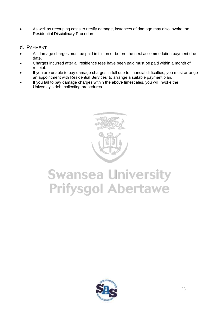- As well as recouping costs to rectify damage, instances of damage may also invoke the [Residential Disciplinary Procedure.](#page-12-1)
- <span id="page-22-0"></span>d. PAYMENT
- All damage charges must be paid in full on or before the next accommodation payment due date.
- Charges incurred after all residence fees have been paid must be paid within a month of receipt.
- If you are unable to pay damage charges in full due to financial difficulties, you must arrange an appointment with Residential Services' to arrange a suitable payment plan.
- If you fail to pay damage charges within the above timescales, you will invoke the University's debt collecting procedures.



# **Swansea University<br>Prifysgol Abertawe**

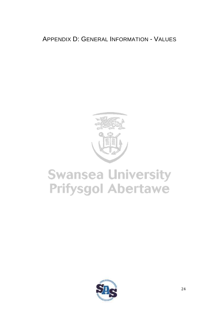<span id="page-23-0"></span>APPENDIX D: GENERAL INFORMATION - VALUES



# **Swansea University Prifysgol Abertawe**

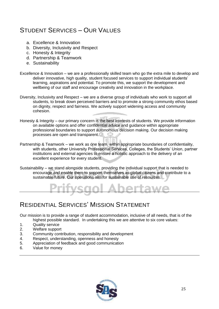# <span id="page-24-0"></span>STUDENT SERVICES – OUR VALUES

- a. Excellence & Innovation
- b. Diversity, Inclusivity and Respect
- c. Honesty & Integrity
- d. Partnership & Teamwork
- e. Sustainability
- Excellence & Innovation we are a professionally skilled team who go the extra mile to develop and deliver innovative, high quality, student focused services to support individual students' learning, aspirations and potential. To promote this, we support the development and wellbeing of our staff and encourage creativity and innovation in the workplace.
- Diversity, Inclusivity and Respect we are a diverse group of individuals who work to support all students, to break down perceived barriers and to promote a strong community ethos based on dignity, respect and fairness. We actively support widening access and community cohesion.
- Honesty & Integrity our primary concern is the best interests of students. We provide information on available options and offer confidential advice and guidance within appropriate professional boundaries to support autonomous decision making. Our decision making processes are open and transparent.
- Partnership & Teamwork we work as one team, within appropriate boundaries of confidentiality, with students, other University Professional Services, Colleges, the Students' Union, partner institutions and external agencies to ensure a holistic approach to the delivery of an excellent experience for every student.
- Sustainability we stand alongside students, providing the individual support that is needed to encourage and enable them to support themselves as global citizens and contribute to a sustainable future. Our operations aim for sustainable use of resources.



## <span id="page-24-1"></span>RESIDENTIAL SERVICES' MISSION STATEMENT

Our mission is to provide a range of student accommodation, inclusive of all needs, that is of the highest possible standard. In undertaking this we are attentive to six core values:

- 1. Quality service
- 2. Welfare support
- 3. Community contribution, responsibility and development
- 4. Respect, understanding, openness and honesty
- 5. Appreciation of feedback and good communication
- 6. Value for money

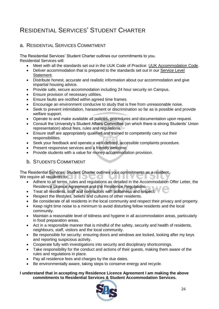# <span id="page-25-0"></span>RESIDENTIAL SERVICES' STUDENT CHARTER

#### <span id="page-25-1"></span>a. RESIDENTIAL SERVICES COMMITMENT

The Residential Services' Student Charter outlines our commitments to you. Residential Services will:

- Meet with all the standards set out in the UUK Code of Practice: [UUK Accommodation Code.](http://www.thesac.org.uk/)
- Deliver accommodation that is prepared to the standards set out in our [Service Level](#page-26-0)  [Statement.](#page-26-0)
- Distribute honest, accurate and realistic information about our accommodation and give impartial housing advice.
- Provide safe, secure accommodation including 24 hour security on Campus.
- Ensure provision of necessary utilities.
- Ensure faults are rectified within agreed time frames.
- Encourage an environment conducive to study that is free from unreasonable noise.
- Seek to prevent intimidation, harassment or discrimination so far as is possible and provide welfare support.
- Operate to and make available all policies, procedures and documentation upon request.
- Consult the University's Student Affairs Committee (on which there is strong Students' Union representation) about fees, rules and regulations.
- Ensure staff are appropriately qualified and trained to competently carry out their responsibilities.
- Seek your feedback and operate a well-defined, accessible complaints procedure.
- Present responsive services and a friendly welcome.
- Provide students with a value for money accommodation provision.

#### <span id="page-25-2"></span>b. STUDENTS COMMITMENT

The Residential Services' Student Charter outlines your commitments as a resident.

We require all residents to:  $\Box$ 

- Adhere to all terms, rules and regulations as detailed in the Accommodation Offer Letter, the Residence Licence Agreement and the Residence Regulations.
- Treat all residents, staff and contractors with politeness and respect.
- Respect the lifestyles, beliefs and cultures of other residents.
- Be considerate of all residents in the local community and respect their privacy and property.
- Keep night time noise to a minimum to avoid disturbing fellow residents and the local community.
- Maintain a reasonable level of tidiness and hygiene in all accommodation areas, particularly in food preparation areas.
- Act in a responsible manner that is mindful of the safety, security and health of residents, neighbours, staff, visitors and the local community.
- Be responsible for security: ensuring doors and windows are locked, looking after my keys and reporting suspicious activity.
- Cooperate fully with investigations into security and disciplinary shortcomings.
- Take responsibility for the conduct and actions of their guests, making them aware of the rules and regulations in place.
- Pay all residence fees and charges by the due dates.
- Be environmentally aware, taking steps to conserve energy and recycle.

#### **I understand that in accepting my Residence Licence Agreement I am making the above commitments to Residential Services & Student Accommodation Services.**

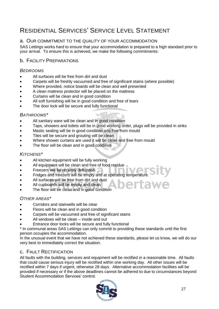# <span id="page-26-0"></span>RESIDENTIAL SERVICES' SERVICE LEVEL STATEMENT

#### <span id="page-26-1"></span>a. OUR COMMITMENT TO THE QUALITY OF YOUR ACCOMMODATION

SAS Lettings works hard to ensure that your accommodation is prepared to a high standard prior to your arrival. To ensure this is achieved, we make the following commitments:

#### <span id="page-26-2"></span>**b. FACILITY PREPARATIONS**

#### <span id="page-26-3"></span>*BEDROOMS*

- All surfaces will be free from dirt and dust
- Carpets will be freshly vacuumed and free of significant stains (where possible)
- Where provided, notice boards will be clean and well presented
- A clean mattress protector will be placed on the mattress
- Curtains will be clean and in good condition
- All soft furnishing will be in good condition and free of tears
- The door lock will be secure and fully functional

#### <span id="page-26-4"></span>*BATHROOMS\**

- All sanitary ware will be clean and in good condition
- Taps, showers and toilets will be in good working order, plugs will be provided in sinks
- Mastic sealing will be in good condition and free from mould
- Tiles will be secure and grouting will be clean
- Where shower curtains are used it will be clean and free from mould
- The floor will be clean and in good condition

#### <span id="page-26-5"></span>*KITCHENS\**

- All kitchen equipment will be fully working
- All equipment will be clean and free of food residue
- Freezers will be recently defrosted.
- Fridges and freezers will be empty and at operating temperature.
- All surfaces will be free from dirt and dust
- All cupboards will be empty and clean
- The floor will be clean and in good condition

#### <span id="page-26-6"></span>*OTHER AREAS\**

- Corridors and stairwells will be clear
- Floors will be clean and in good condition
- Carpets will be vacuumed and free of significant stains
- All windows will be clean inside and out
- Entrance door locks will be secure and fully functional

\* In communal areas SAS Lettings can only commit to providing these standards until the first person occupies the accommodation.

In the unusual event that we have not achieved these standards, please let us know, we will do our very best to immediately correct the situation.

#### <span id="page-26-7"></span>c. FAULT RECTIFICATION

All faults with the building, services and equipment will be rectified in a reasonable time. All faults that could cause serious injury will be rectified within one working day. All other issues will be rectified within 7 days if urgent, otherwise 28 days. Alternative accommodation facilities will be provided if necessary or if the above deadlines cannot be adhered to due to circumstances beyond Student Accommodation Services' control.